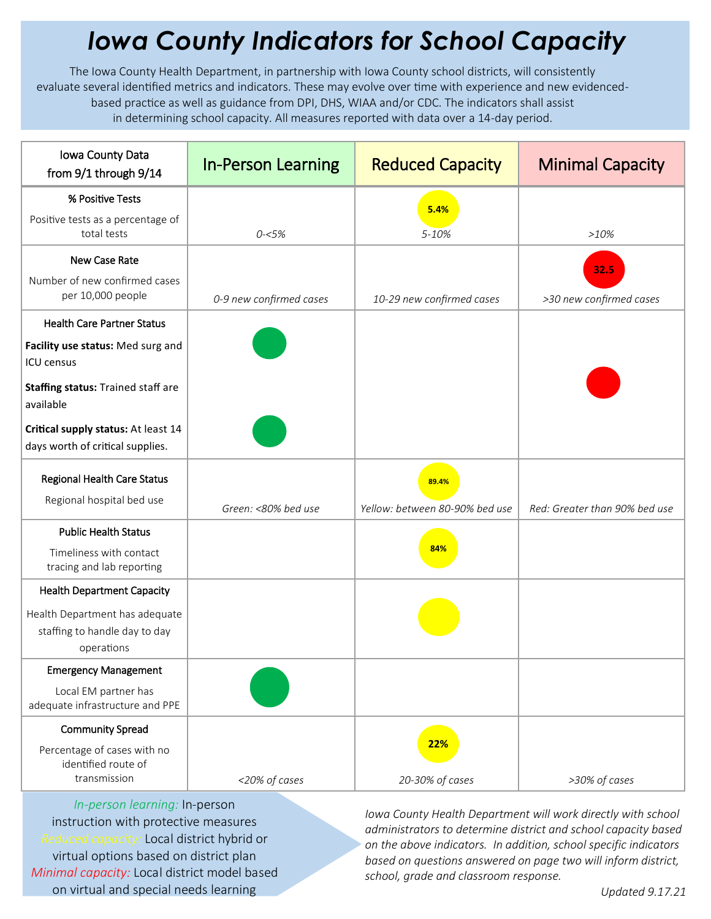## *Iowa County Indicators for School Capacity*

The Iowa County Health Department, in partnership with Iowa County school districts, will consistently evaluate several identified metrics and indicators. These may evolve over time with experience and new evidencedbased practice as well as guidance from DPI, DHS, WIAA and/or CDC. The indicators shall assist in determining school capacity. All measures reported with data over a 14-day period.

| Iowa County Data<br>from 9/1 through 9/14                                     | <b>In-Person Learning</b> | <b>Reduced Capacity</b>        | <b>Minimal Capacity</b>       |
|-------------------------------------------------------------------------------|---------------------------|--------------------------------|-------------------------------|
| % Positive Tests                                                              |                           | 5.4%                           |                               |
| Positive tests as a percentage of<br>total tests                              | $0 - 5%$                  | 5-10%                          | >10%                          |
| New Case Rate                                                                 |                           |                                | 32.5                          |
| Number of new confirmed cases<br>per 10,000 people                            | 0-9 new confirmed cases   | 10-29 new confirmed cases      | >30 new confirmed cases       |
| <b>Health Care Partner Status</b>                                             |                           |                                |                               |
| Facility use status: Med surg and<br><b>ICU</b> census                        |                           |                                |                               |
| Staffing status: Trained staff are<br>available                               |                           |                                |                               |
| Critical supply status: At least 14<br>days worth of critical supplies.       |                           |                                |                               |
| Regional Health Care Status                                                   |                           | 89.4%                          |                               |
| Regional hospital bed use                                                     | Green: <80% bed use       | Yellow: between 80-90% bed use | Red: Greater than 90% bed use |
| <b>Public Health Status</b>                                                   |                           |                                |                               |
| Timeliness with contact<br>tracing and lab reporting                          |                           | 84%                            |                               |
| <b>Health Department Capacity</b>                                             |                           |                                |                               |
| Health Department has adequate<br>staffing to handle day to day<br>operations |                           |                                |                               |
| <b>Emergency Management</b>                                                   |                           |                                |                               |
| Local EM partner has<br>adequate infrastructure and PPE                       |                           |                                |                               |
| <b>Community Spread</b>                                                       |                           |                                |                               |
| Percentage of cases with no<br>identified route of                            |                           | 22%                            |                               |
| transmission                                                                  | <20% of cases             | 20-30% of cases                | >30% of cases                 |

*In-person learning:* In-person instruction with protective measures *Reduced capacity:* Local district hybrid or virtual options based on district plan *Minimal capacity:* Local district model based on virtual and special needs learning

*Iowa County Health Department will work directly with school administrators to determine district and school capacity based on the above indicators. In addition, school specific indicators based on questions answered on page two will inform district, school, grade and classroom response.*